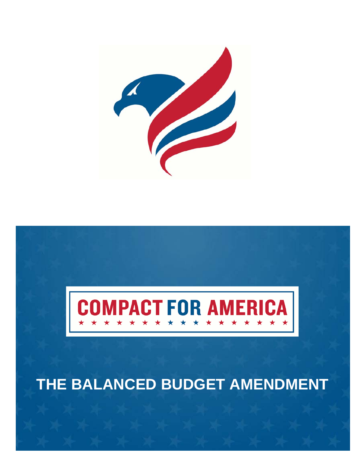



# **THE BALANCED BUDGET AMENDMENT**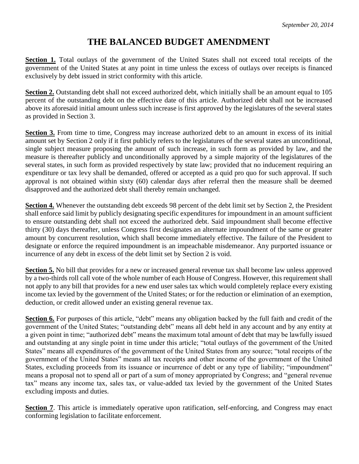## **THE BALANCED BUDGET AMENDMENT**

**Section 1.** Total outlays of the government of the United States shall not exceed total receipts of the government of the United States at any point in time unless the excess of outlays over receipts is financed exclusively by debt issued in strict conformity with this article.

**Section 2.** Outstanding debt shall not exceed authorized debt, which initially shall be an amount equal to 105 percent of the outstanding debt on the effective date of this article. Authorized debt shall not be increased above its aforesaid initial amount unless such increase is first approved by the legislatures of the several states as provided in Section 3.

Section 3. From time to time, Congress may increase authorized debt to an amount in excess of its initial amount set by Section 2 only if it first publicly refers to the legislatures of the several states an unconditional, single subject measure proposing the amount of such increase, in such form as provided by law, and the measure is thereafter publicly and unconditionally approved by a simple majority of the legislatures of the several states, in such form as provided respectively by state law; provided that no inducement requiring an expenditure or tax levy shall be demanded, offered or accepted as a quid pro quo for such approval. If such approval is not obtained within sixty (60) calendar days after referral then the measure shall be deemed disapproved and the authorized debt shall thereby remain unchanged.

**Section 4.** Whenever the outstanding debt exceeds 98 percent of the debt limit set by Section 2, the President shall enforce said limit by publicly designating specific expenditures for impoundment in an amount sufficient to ensure outstanding debt shall not exceed the authorized debt. Said impoundment shall become effective thirty (30) days thereafter, unless Congress first designates an alternate impoundment of the same or greater amount by concurrent resolution, which shall become immediately effective. The failure of the President to designate or enforce the required impoundment is an impeachable misdemeanor. Any purported issuance or incurrence of any debt in excess of the debt limit set by Section 2 is void.

**Section 5.** No bill that provides for a new or increased general revenue tax shall become law unless approved by a two-thirds roll call vote of the whole number of each House of Congress. However, this requirement shall not apply to any bill that provides for a new end user sales tax which would completely replace every existing income tax levied by the government of the United States; or for the reduction or elimination of an exemption, deduction, or credit allowed under an existing general revenue tax.

**Section 6.** For purposes of this article, "debt" means any obligation backed by the full faith and credit of the government of the United States; "outstanding debt" means all debt held in any account and by any entity at a given point in time; "authorized debt" means the maximum total amount of debt that may be lawfully issued and outstanding at any single point in time under this article; "total outlays of the government of the United States" means all expenditures of the government of the United States from any source; "total receipts of the government of the United States" means all tax receipts and other income of the government of the United States, excluding proceeds from its issuance or incurrence of debt or any type of liability; "impoundment" means a proposal not to spend all or part of a sum of money appropriated by Congress; and "general revenue tax" means any income tax, sales tax, or value-added tax levied by the government of the United States excluding imposts and duties.

**Section 7.** This article is immediately operative upon ratification, self-enforcing, and Congress may enact conforming legislation to facilitate enforcement.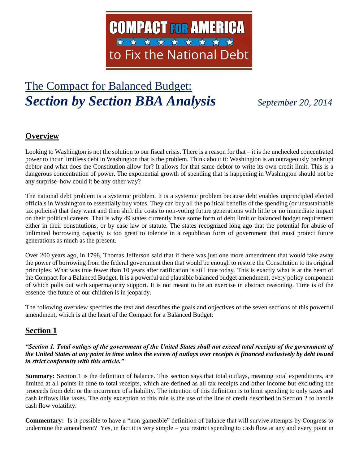

## The Compact for Balanced Budget: *Section by Section BBA Analysis September 20, 2014*

## **Overview**

Looking to Washington is not the solution to our fiscal crisis. There is a reason for that – it is the unchecked concentrated power to incur limitless debt in Washington that is the problem. Think about it: Washington is an outrageously bankrupt debtor and what does the Constitution allow for? It allows for that same debtor to write its own credit limit. This is a dangerous concentration of power. The exponential growth of spending that is happening in Washington should not be any surprise–how could it be any other way?

The national debt problem is a systemic problem. It is a systemic problem because debt enables unprincipled elected officials in Washington to essentially buy votes. They can buy all the political benefits of the spending (or unsustainable tax policies) that they want and then shift the costs to non-voting future generations with little or no immediate impact on their political careers. That is why 49 states currently have some form of debt limit or balanced budget requirement either in their constitutions, or by case law or statute. The states recognized long ago that the potential for abuse of unlimited borrowing capacity is too great to tolerate in a republican form of government that must protect future generations as much as the present.

Over 200 years ago, in 1798, Thomas Jefferson said that if there was just one more amendment that would take away the power of borrowing from the federal government then that would be enough to restore the Constitution to its original principles. What was true fewer than 10 years after ratification is still true today. This is exactly what is at the heart of the Compact for a Balanced Budget. It is a powerful and plausible balanced budget amendment, every policy component of which polls out with supermajority support. It is not meant to be an exercise in abstract reasoning. Time is of the essence–the future of our children is in jeopardy.

The following overview specifies the text and describes the goals and objectives of the seven sections of this powerful amendment, which is at the heart of the Compact for a Balanced Budget:

### **Section 1**

*"Section 1. Total outlays of the government of the United States shall not exceed total receipts of the government of the United States at any point in time unless the excess of outlays over receipts is financed exclusively by debt issued in strict conformity with this article."*

**Summary:** Section 1 is the definition of balance. This section says that total outlays, meaning total expenditures, are limited at all points in time to total receipts, which are defined as all tax receipts and other income but excluding the proceeds from debt or the incurrence of a liability. The intention of this definition is to limit spending to only taxes and cash inflows like taxes. The only exception to this rule is the use of the line of credit described in Section 2 to handle cash flow volatility.

**Commentary:** Is it possible to have a "non-gameable" definition of balance that will survive attempts by Congress to undermine the amendment? Yes, in fact it is very simple – you restrict spending to cash flow at any and every point in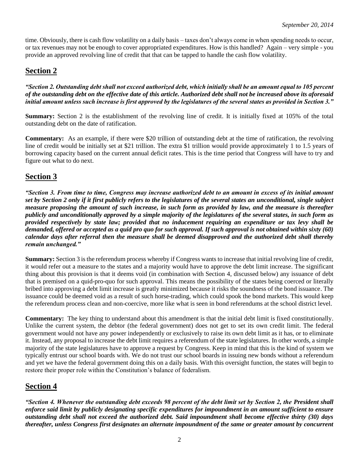time. Obviously, there is cash flow volatility on a daily basis – taxes don't always come in when spending needs to occur, or tax revenues may not be enough to cover appropriated expenditures. How is this handled? Again – very simple - you provide an approved revolving line of credit that that can be tapped to handle the cash flow volatility.

## **Section 2**

*"Section 2. Outstanding debt shall not exceed authorized debt, which initially shall be an amount equal to 105 percent of the outstanding debt on the effective date of this article. Authorized debt shall not be increased above its aforesaid initial amount unless such increase is first approved by the legislatures of the several states as provided in Section 3."*

**Summary:** Section 2 is the establishment of the revolving line of credit. It is initially fixed at 105% of the total outstanding debt on the date of ratification.

**Commentary:** As an example, if there were \$20 trillion of outstanding debt at the time of ratification, the revolving line of credit would be initially set at \$21 trillion. The extra \$1 trillion would provide approximately 1 to 1.5 years of borrowing capacity based on the current annual deficit rates. This is the time period that Congress will have to try and figure out what to do next.

## **Section 3**

*"Section 3. From time to time, Congress may increase authorized debt to an amount in excess of its initial amount set by Section 2 only if it first publicly refers to the legislatures of the several states an unconditional, single subject measure proposing the amount of such increase, in such form as provided by law, and the measure is thereafter publicly and unconditionally approved by a simple majority of the legislatures of the several states, in such form as provided respectively by state law; provided that no inducement requiring an expenditure or tax levy shall be demanded, offered or accepted as a quid pro quo for such approval. If such approval is not obtained within sixty (60) calendar days after referral then the measure shall be deemed disapproved and the authorized debt shall thereby remain unchanged."*

**Summary:** Section 3 is the referendum process whereby if Congress wants to increase that initial revolving line of credit, it would refer out a measure to the states and a majority would have to approve the debt limit increase. The significant thing about this provision is that it deems void (in combination with Section 4, discussed below) any issuance of debt that is premised on a quid-pro-quo for such approval. This means the possibility of the states being coerced or literally bribed into approving a debt limit increase is greatly minimized because it risks the soundness of the bond issuance. The issuance could be deemed void as a result of such horse-trading, which could spook the bond markets. This would keep the referendum process clean and non-coercive, more like what is seen in bond referendums at the school district level.

**Commentary:** The key thing to understand about this amendment is that the initial debt limit is fixed constitutionally. Unlike the current system, the debtor (the federal government) does not get to set its own credit limit. The federal government would not have any power independently or exclusively to raise its own debt limit as it has, or to eliminate it. Instead, any proposal to increase the debt limit requires a referendum of the state legislatures. In other words, a simple majority of the state legislatures have to approve a request by Congress. Keep in mind that this is the kind of system we typically entrust our school boards with. We do not trust our school boards in issuing new bonds without a referendum and yet we have the federal government doing this on a daily basis. With this oversight function, the states will begin to restore their proper role within the Constitution's balance of federalism.

## **Section 4**

*"Section 4. Whenever the outstanding debt exceeds 98 percent of the debt limit set by Section 2, the President shall enforce said limit by publicly designating specific expenditures for impoundment in an amount sufficient to ensure outstanding debt shall not exceed the authorized debt. Said impoundment shall become effective thirty (30) days thereafter, unless Congress first designates an alternate impoundment of the same or greater amount by concurrent*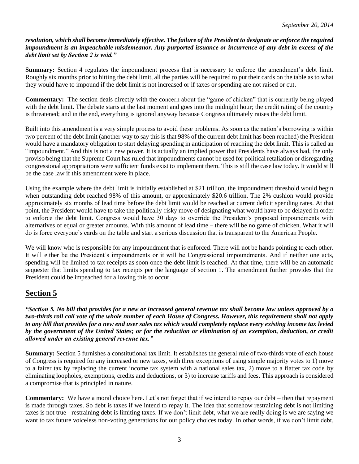#### *resolution, which shall become immediately effective. The failure of the President to designate or enforce the required impoundment is an impeachable misdemeanor. Any purported issuance or incurrence of any debt in excess of the debt limit set by Section 2 is void."*

**Summary:** Section 4 regulates the impoundment process that is necessary to enforce the amendment's debt limit. Roughly six months prior to hitting the debt limit, all the parties will be required to put their cards on the table as to what they would have to impound if the debt limit is not increased or if taxes or spending are not raised or cut.

**Commentary:** The section deals directly with the concern about the "game of chicken" that is currently being played with the debt limit. The debate starts at the last moment and goes into the midnight hour; the credit rating of the country is threatened; and in the end, everything is ignored anyway because Congress ultimately raises the debt limit.

Built into this amendment is a very simple process to avoid these problems. As soon as the nation's borrowing is within two percent of the debt limit (another way to say this is that 98% of the current debt limit has been reached) the President would have a mandatory obligation to start delaying spending in anticipation of reaching the debt limit. This is called an "impoundment." And this is not a new power. It is actually an implied power that Presidents have always had, the only proviso being that the Supreme Court has ruled that impoundments cannot be used for political retaliation or disregarding congressional appropriations were sufficient funds exist to implement them. This is still the case law today. It would still be the case law if this amendment were in place.

Using the example where the debt limit is initially established at \$21 trillion, the impoundment threshold would begin when outstanding debt reached 98% of this amount, or approximately \$20.6 trillion. The 2% cushion would provide approximately six months of lead time before the debt limit would be reached at current deficit spending rates. At that point, the President would have to take the politically-risky move of designating what would have to be delayed in order to enforce the debt limit. Congress would have 30 days to override the President's proposed impoundments with alternatives of equal or greater amounts. With this amount of lead time – there will be no game of chicken. What it will do is force everyone's cards on the table and start a serious discussion that is transparent to the American People.

We will know who is responsible for any impoundment that is enforced. There will not be hands pointing to each other. It will either be the President's impoundments or it will be Congressional impoundments. And if neither one acts, spending will be limited to tax receipts as soon once the debt limit is reached. At that time, there will be an automatic sequester that limits spending to tax receipts per the language of section 1. The amendment further provides that the President could be impeached for allowing this to occur.

### **Section 5**

*"Section 5. No bill that provides for a new or increased general revenue tax shall become law unless approved by a two-thirds roll call vote of the whole number of each House of Congress. However, this requirement shall not apply to any bill that provides for a new end user sales tax which would completely replace every existing income tax levied*  by the government of the United States; or for the reduction or elimination of an exemption, deduction, or credit *allowed under an existing general revenue tax."*

**Summary:** Section 5 furnishes a constitutional tax limit. It establishes the general rule of two-thirds vote of each house of Congress is required for any increased or new taxes, with three exceptions of using simple majority votes to 1) move to a fairer tax by replacing the current income tax system with a national sales tax, 2) move to a flatter tax code by eliminating loopholes, exemptions, credits and deductions, or 3) to increase tariffs and fees. This approach is considered a compromise that is principled in nature.

**Commentary:** We have a moral choice here. Let's not forget that if we intend to repay our debt – then that repayment is made through taxes. So debt is taxes if we intend to repay it. The idea that somehow restraining debt is not limiting taxes is not true - restraining debt is limiting taxes. If we don't limit debt, what we are really doing is we are saying we want to tax future voiceless non-voting generations for our policy choices today. In other words, if we don't limit debt,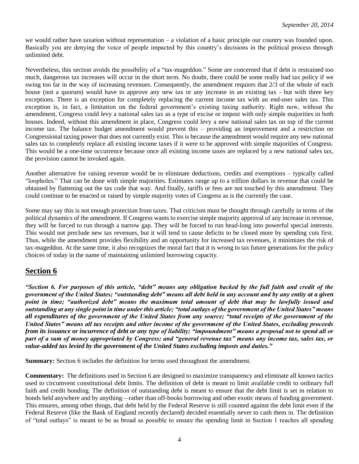we would rather have taxation without representation – a violation of a basic principle our country was founded upon. Basically you are denying the voice of people impacted by this country's decisions in the political process through unlimited debt.

Nevertheless, this section avoids the possibility of a "tax-mageddon." Some are concerned that if debt is restrained too much, dangerous tax increases will occur in the short term. No doubt, there could be some really bad tax policy if we swing too far in the way of increasing revenues. Consequently, the amendment requires that 2/3 of the whole of each house (not a quorum) would have to approve any new tax or any increase in an existing tax - but with three key exceptions. There is an exception for completely replacing the current income tax with an end-user sales tax. This exception is, in fact, a limitation on the federal government's existing taxing authority. Right now, without the amendment, Congress could levy a national sales tax as a type of excise or impost with only simple majorities in both houses. Indeed, without this amendment in place, Congress could levy a new national sales tax on top of the current income tax. The balance budget amendment would prevent this – providing an improvement and a restriction on Congressional taxing power that does not currently exist. This is because the amendment would require any new national sales tax to completely replace all existing income taxes if it were to be approved with simple majorities of Congress. This would be a one-time occurrence because once all existing income taxes are replaced by a new national sales tax, the provision cannot be invoked again.

Another alternative for raising revenue would be to eliminate deductions, credits and exemptions – typically called "loopholes." That can be done with simple majorities. Estimates range up to a trillion dollars in revenue that could be obtained by flattening out the tax code that way. And finally, tariffs or fees are not touched by this amendment. They could continue to be enacted or raised by simple majority votes of Congress as is the currently the case.

Some may say this is not enough protection from taxes. That criticism must be thought through carefully in terms of the political dynamics of the amendment. If Congress wants to exercise simple majority approval of any increase in revenue, they will be forced to run through a narrow gap. They will be forced to run head-long into powerful special interests. This would not preclude new tax revenues, but it will tend to cause deficits to be closed more by spending cuts first. Thus, while the amendment provides flexibility and an opportunity for increased tax revenues, it minimizes the risk of tax-mageddon. At the same time, it also recognizes the moral fact that it is wrong to tax future generations for the policy choices of today in the name of maintaining unlimited borrowing capacity.

### **Section 6**

*"Section 6. For purposes of this article, "debt" means any obligation backed by the full faith and credit of the government of the United States; "outstanding debt" means all debt held in any account and by any entity at a given point in time; "authorized debt" means the maximum total amount of debt that may be lawfully issued and outstanding at any single point in time under this article; "total outlays of the government of the United States" means all expenditures of the government of the United States from any source; "total receipts of the government of the United States" means all tax receipts and other income of the government of the United States, excluding proceeds from its issuance or incurrence of debt or any type of liability; "impoundment" means a proposal not to spend all or part of a sum of money appropriated by Congress; and "general revenue tax" means any income tax, sales tax, or value-added tax levied by the government of the United States excluding imposts and duties."*

**Summary:** Section 6 includes the definition for terms used throughout the amendment.

**Commentary:** The definitions used in Section 6 are designed to maximize transparency and eliminate all known tactics used to circumvent constitutional debt limits. The definition of debt is meant to limit available credit to ordinary full faith and credit bonding. The definition of outstanding debt is meant to ensure that the debt limit is set in relation to bonds held anywhere and by anything—rather than off-books borrowing and other exotic means of funding government. This ensures, among other things, that debt held by the Federal Reserve is still counted against the debt limit even if the Federal Reserve (like the Bank of England recently declared) decided essentially never to cash them in. The definition of "total outlays" is meant to be as broad as possible to ensure the spending limit in Section 1 reaches all spending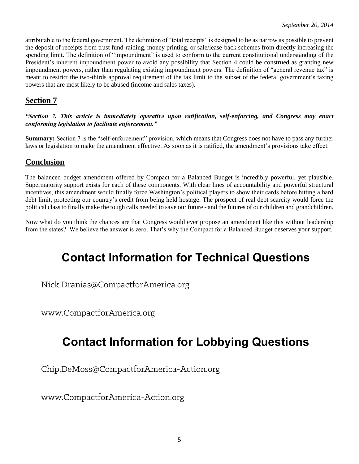attributable to the federal government. The definition of "total receipts" is designed to be as narrow as possible to prevent the deposit of receipts from trust fund-raiding, money printing, or sale/lease-back schemes from directly increasing the spending limit. The definition of "impoundment" is used to conform to the current constitutional understanding of the President's inherent impoundment power to avoid any possibility that Section 4 could be construed as granting new impoundment powers, rather than regulating existing impoundment powers. The definition of "general revenue tax" is meant to restrict the two-thirds approval requirement of the tax limit to the subset of the federal government's taxing powers that are most likely to be abused (income and sales taxes).

## **Section 7**

*"Section 7. This article is immediately operative upon ratification, self-enforcing, and Congress may enact conforming legislation to facilitate enforcement."*

**Summary:** Section 7 is the "self-enforcement" provision, which means that Congress does not have to pass any further laws or legislation to make the amendment effective. As soon as it is ratified, the amendment's provisions take effect.

## **Conclusion**

The balanced budget amendment offered by Compact for a Balanced Budget is incredibly powerful, yet plausible. Supermajority support exists for each of these components. With clear lines of accountability and powerful structural incentives, this amendment would finally force Washington's political players to show their cards before hitting a hard debt limit, protecting our country's credit from being held hostage. The prospect of real debt scarcity would force the political class to finally make the tough calls needed to save our future - and the futures of our children and grandchildren.

Now what do you think the chances are that Congress would ever propose an amendment like this without leadership from the states? We believe the answer is zero. That's why the Compact for a Balanced Budget deserves your support.

## **Contact Information for Technical Questions**

Nick.Dranias@CompactforAmerica.org

www.CompactforAmerica.org

## **Contact Information for Lobbying Questions**

Chip.DeMoss@CompactforAmerica-Action.org

www.CompactforAmerica-Action.org